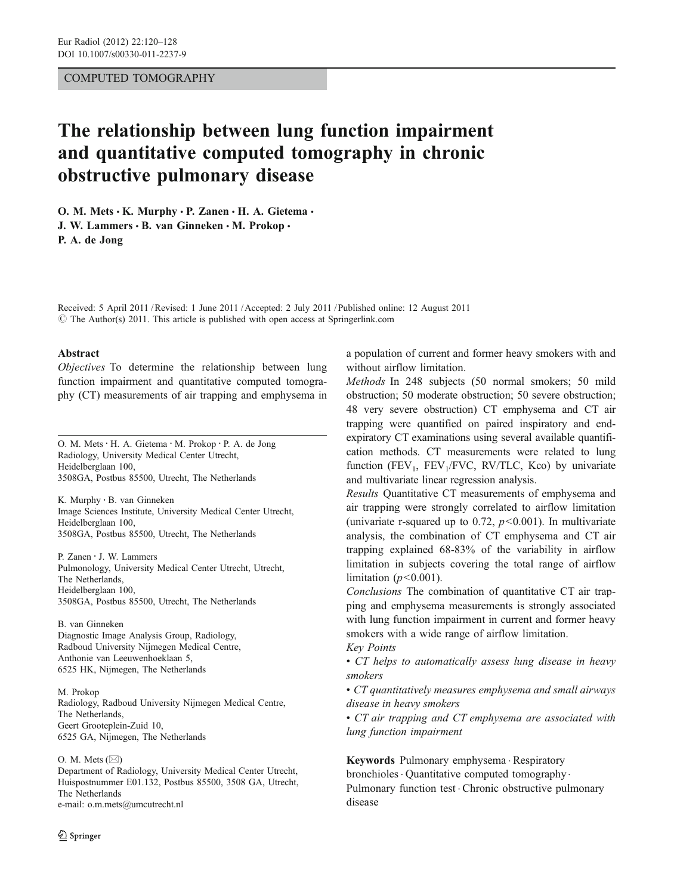## COMPUTED TOMOGRAPHY

# The relationship between lung function impairment and quantitative computed tomography in chronic obstructive pulmonary disease

O. M. Mets  $\cdot$  K. Murphy  $\cdot$  P. Zanen  $\cdot$  H. A. Gietema  $\cdot$ J. W. Lammers · B. van Ginneken · M. Prokop · P. A. de Jong

Received: 5 April 2011 /Revised: 1 June 2011 /Accepted: 2 July 2011 / Published online: 12 August 2011 © The Author(s) 2011. This article is published with open access at Springerlink.com

#### Abstract

Objectives To determine the relationship between lung function impairment and quantitative computed tomography (CT) measurements of air trapping and emphysema in

O. M. Mets: H. A. Gietema : M. Prokop : P. A. de Jong Radiology, University Medical Center Utrecht, Heidelberglaan 100, 3508GA, Postbus 85500, Utrecht, The Netherlands

K. Murphy : B. van Ginneken Image Sciences Institute, University Medical Center Utrecht, Heidelberglaan 100, 3508GA, Postbus 85500, Utrecht, The Netherlands

P. Zanen : J. W. Lammers Pulmonology, University Medical Center Utrecht, Utrecht, The Netherlands, Heidelberglaan 100, 3508GA, Postbus 85500, Utrecht, The Netherlands

B. van Ginneken Diagnostic Image Analysis Group, Radiology, Radboud University Nijmegen Medical Centre, Anthonie van Leeuwenhoeklaan 5, 6525 HK, Nijmegen, The Netherlands

#### M. Prokop

Radiology, Radboud University Nijmegen Medical Centre, The Netherlands, Geert Grooteplein-Zuid 10, 6525 GA, Nijmegen, The Netherlands

#### O. M. Mets  $(\boxtimes)$

Department of Radiology, University Medical Center Utrecht, Huispostnummer E01.132, Postbus 85500, 3508 GA, Utrecht, The Netherlands e-mail: o.m.mets@umcutrecht.nl

<u>�</u> Springer

a population of current and former heavy smokers with and without airflow limitation.

Methods In 248 subjects (50 normal smokers; 50 mild obstruction; 50 moderate obstruction; 50 severe obstruction; 48 very severe obstruction) CT emphysema and CT air trapping were quantified on paired inspiratory and endexpiratory CT examinations using several available quantification methods. CT measurements were related to lung function (FEV<sub>1</sub>, FEV<sub>1</sub>/FVC, RV/TLC, Kco) by univariate and multivariate linear regression analysis.

Results Quantitative CT measurements of emphysema and air trapping were strongly correlated to airflow limitation (univariate r-squared up to 0.72,  $p<0.001$ ). In multivariate analysis, the combination of CT emphysema and CT air trapping explained 68-83% of the variability in airflow limitation in subjects covering the total range of airflow limitation ( $p < 0.001$ ).

Conclusions The combination of quantitative CT air trapping and emphysema measurements is strongly associated with lung function impairment in current and former heavy smokers with a wide range of airflow limitation.

Key Points

• CT helps to automatically assess lung disease in heavy smokers

• CT quantitatively measures emphysema and small airways disease in heavy smokers

• CT air trapping and CT emphysema are associated with lung function impairment

Keywords Pulmonary emphysema . Respiratory bronchioles. Quantitative computed tomography . Pulmonary function test Chronic obstructive pulmonary disease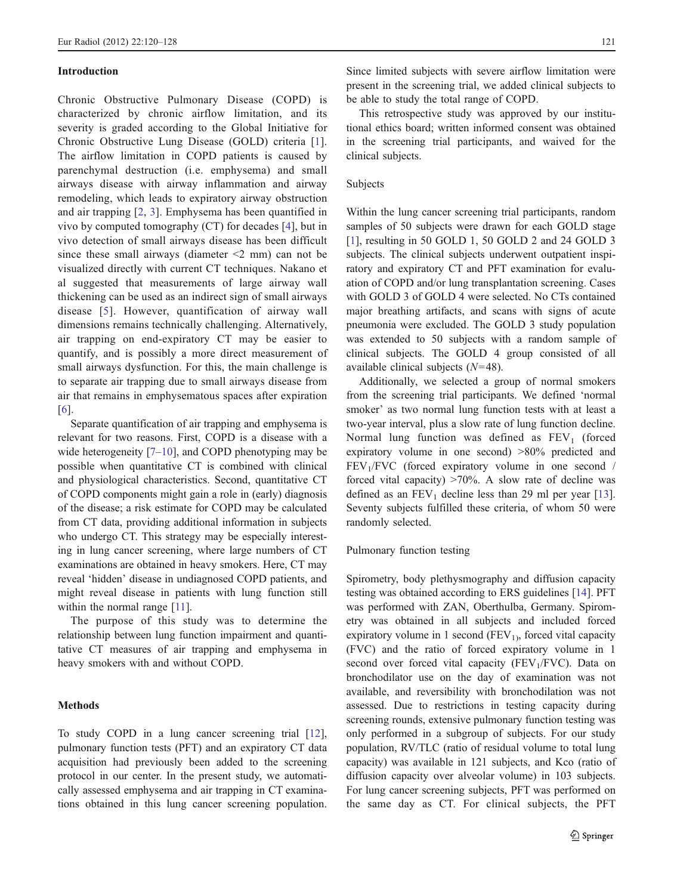#### Introduction

Chronic Obstructive Pulmonary Disease (COPD) is characterized by chronic airflow limitation, and its severity is graded according to the Global Initiative for Chronic Obstructive Lung Disease (GOLD) criteria [\[1](#page-7-0)]. The airflow limitation in COPD patients is caused by parenchymal destruction (i.e. emphysema) and small airways disease with airway inflammation and airway remodeling, which leads to expiratory airway obstruction and air trapping [[2](#page-7-0), [3\]](#page-7-0). Emphysema has been quantified in vivo by computed tomography (CT) for decades [\[4](#page-7-0)], but in vivo detection of small airways disease has been difficult since these small airways (diameter  $\leq$ 2 mm) can not be visualized directly with current CT techniques. Nakano et al suggested that measurements of large airway wall thickening can be used as an indirect sign of small airways disease [\[5\]](#page-7-0). However, quantification of airway wall dimensions remains technically challenging. Alternatively, air trapping on end-expiratory CT may be easier to quantify, and is possibly a more direct measurement of small airways dysfunction. For this, the main challenge is to separate air trapping due to small airways disease from air that remains in emphysematous spaces after expiration [\[6](#page-7-0)].

Separate quantification of air trapping and emphysema is relevant for two reasons. First, COPD is a disease with a wide heterogeneity [[7](#page-7-0)–[10\]](#page-7-0), and COPD phenotyping may be possible when quantitative CT is combined with clinical and physiological characteristics. Second, quantitative CT of COPD components might gain a role in (early) diagnosis of the disease; a risk estimate for COPD may be calculated from CT data, providing additional information in subjects who undergo CT. This strategy may be especially interesting in lung cancer screening, where large numbers of CT examinations are obtained in heavy smokers. Here, CT may reveal 'hidden' disease in undiagnosed COPD patients, and might reveal disease in patients with lung function still within the normal range [[11](#page-7-0)].

The purpose of this study was to determine the relationship between lung function impairment and quantitative CT measures of air trapping and emphysema in heavy smokers with and without COPD.

## Methods

To study COPD in a lung cancer screening trial [\[12](#page-7-0)], pulmonary function tests (PFT) and an expiratory CT data acquisition had previously been added to the screening protocol in our center. In the present study, we automatically assessed emphysema and air trapping in CT examinations obtained in this lung cancer screening population.

Since limited subjects with severe airflow limitation were present in the screening trial, we added clinical subjects to be able to study the total range of COPD.

This retrospective study was approved by our institutional ethics board; written informed consent was obtained in the screening trial participants, and waived for the clinical subjects.

## Subjects

Within the lung cancer screening trial participants, random samples of 50 subjects were drawn for each GOLD stage [\[1](#page-7-0)], resulting in 50 GOLD 1, 50 GOLD 2 and 24 GOLD 3 subjects. The clinical subjects underwent outpatient inspiratory and expiratory CT and PFT examination for evaluation of COPD and/or lung transplantation screening. Cases with GOLD 3 of GOLD 4 were selected. No CTs contained major breathing artifacts, and scans with signs of acute pneumonia were excluded. The GOLD 3 study population was extended to 50 subjects with a random sample of clinical subjects. The GOLD 4 group consisted of all available clinical subjects  $(N=48)$ .

Additionally, we selected a group of normal smokers from the screening trial participants. We defined 'normal smoker' as two normal lung function tests with at least a two-year interval, plus a slow rate of lung function decline. Normal lung function was defined as  $FEV<sub>1</sub>$  (forced expiratory volume in one second) >80% predicted and  $FEV<sub>1</sub>/FVC$  (forced expiratory volume in one second / forced vital capacity)  $>70\%$ . A slow rate of decline was defined as an  $FEV_1$  decline less than 29 ml per year [[13\]](#page-7-0). Seventy subjects fulfilled these criteria, of whom 50 were randomly selected.

### Pulmonary function testing

Spirometry, body plethysmography and diffusion capacity testing was obtained according to ERS guidelines [[14\]](#page-7-0). PFT was performed with ZAN, Oberthulba, Germany. Spirometry was obtained in all subjects and included forced expiratory volume in 1 second ( $FEV<sub>1</sub>$ ), forced vital capacity (FVC) and the ratio of forced expiratory volume in 1 second over forced vital capacity ( $FEV<sub>1</sub>/FVC$ ). Data on bronchodilator use on the day of examination was not available, and reversibility with bronchodilation was not assessed. Due to restrictions in testing capacity during screening rounds, extensive pulmonary function testing was only performed in a subgroup of subjects. For our study population, RV/TLC (ratio of residual volume to total lung capacity) was available in 121 subjects, and Kco (ratio of diffusion capacity over alveolar volume) in 103 subjects. For lung cancer screening subjects, PFT was performed on the same day as CT. For clinical subjects, the PFT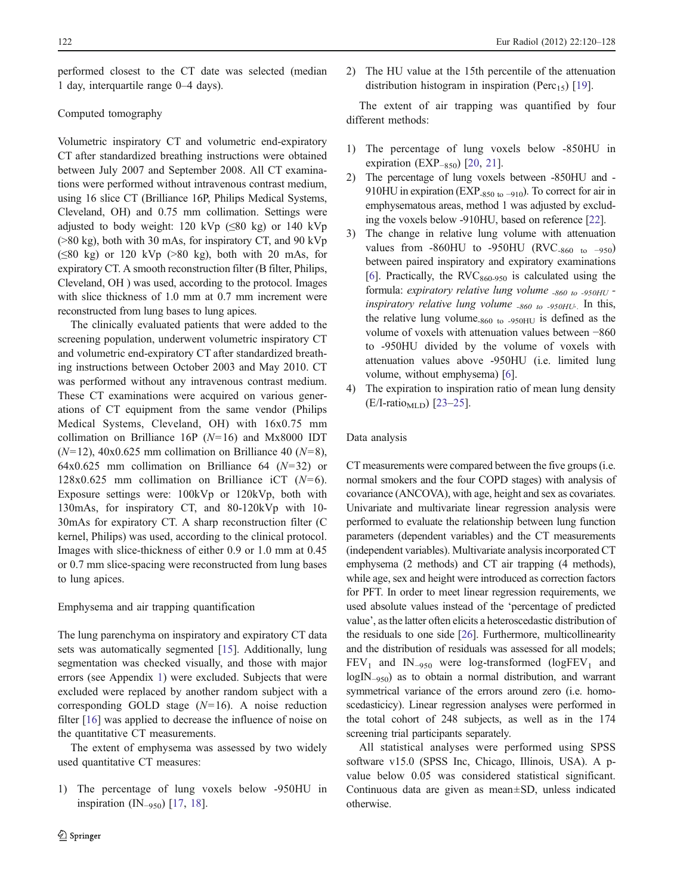performed closest to the CT date was selected (median 1 day, interquartile range 0–4 days).

## Computed tomography

Volumetric inspiratory CT and volumetric end-expiratory CT after standardized breathing instructions were obtained between July 2007 and September 2008. All CT examinations were performed without intravenous contrast medium, using 16 slice CT (Brilliance 16P, Philips Medical Systems, Cleveland, OH) and 0.75 mm collimation. Settings were adjusted to body weight: 120 kVp ( $\leq 80$  kg) or 140 kVp (>80 kg), both with 30 mAs, for inspiratory CT, and 90 kVp  $(\leq 80 \text{ kg})$  or 120 kVp (>80 kg), both with 20 mAs, for expiratory CT. A smooth reconstruction filter (B filter, Philips, Cleveland, OH ) was used, according to the protocol. Images with slice thickness of 1.0 mm at 0.7 mm increment were reconstructed from lung bases to lung apices.

The clinically evaluated patients that were added to the screening population, underwent volumetric inspiratory CT and volumetric end-expiratory CT after standardized breathing instructions between October 2003 and May 2010. CT was performed without any intravenous contrast medium. These CT examinations were acquired on various generations of CT equipment from the same vendor (Philips Medical Systems, Cleveland, OH) with 16x0.75 mm collimation on Brilliance 16P ( $N=16$ ) and Mx8000 IDT  $(N=12)$ ,  $40x0.625$  mm collimation on Brilliance 40 ( $N=8$ ), 64x0.625 mm collimation on Brilliance 64 ( $N=32$ ) or  $128x0.625$  mm collimation on Brilliance iCT (N=6). Exposure settings were: 100kVp or 120kVp, both with 130mAs, for inspiratory CT, and 80-120kVp with 10- 30mAs for expiratory CT. A sharp reconstruction filter (C kernel, Philips) was used, according to the clinical protocol. Images with slice-thickness of either 0.9 or 1.0 mm at 0.45 or 0.7 mm slice-spacing were reconstructed from lung bases to lung apices.

Emphysema and air trapping quantification

The lung parenchyma on inspiratory and expiratory CT data sets was automatically segmented [\[15](#page-7-0)]. Additionally, lung segmentation was checked visually, and those with major errors (see Appendix [1](#page-7-0)) were excluded. Subjects that were excluded were replaced by another random subject with a corresponding GOLD stage  $(N=16)$ . A noise reduction filter [\[16](#page-8-0)] was applied to decrease the influence of noise on the quantitative CT measurements.

The extent of emphysema was assessed by two widely used quantitative CT measures:

1) The percentage of lung voxels below -950HU in inspiration (IN−950) [\[17](#page-8-0), [18](#page-8-0)].

2) The HU value at the 15th percentile of the attenuation distribution histogram in inspiration (Perc<sub>15</sub>) [\[19](#page-8-0)].

The extent of air trapping was quantified by four different methods:

- 1) The percentage of lung voxels below -850HU in expiration (EXP<sub>-850</sub>) [[20,](#page-8-0) [21](#page-8-0)].
- 2) The percentage of lung voxels between -850HU and 910HU in expiration (EXP<sub>-850 to -910</sub>). To correct for air in emphysematous areas, method 1 was adjusted by excluding the voxels below -910HU, based on reference [[22](#page-8-0)].
- 3) The change in relative lung volume with attenuation values from -860HU to -950HU (RVC<sub>-860 to -950</sub>) between paired inspiratory and expiratory examinations [\[6](#page-7-0)]. Practically, the  $\text{RVC}_{860-950}$  is calculated using the formula: expiratory relative lung volume -860 to -950HU inspiratory relative lung volume  $_{-860}$  to  $_{-950HU}$ . In this, the relative lung volume<sub>-860 to -950HU</sub> is defined as the volume of voxels with attenuation values between −860 to -950HU divided by the volume of voxels with attenuation values above -950HU (i.e. limited lung volume, without emphysema) [[6\]](#page-7-0).
- 4) The expiration to inspiration ratio of mean lung density  $(E/I-ratio<sub>MLD</sub>)$  [[23](#page-8-0)–[25\]](#page-8-0).

## Data analysis

CT measurements were compared between the five groups (i.e. normal smokers and the four COPD stages) with analysis of covariance (ANCOVA), with age, height and sex as covariates. Univariate and multivariate linear regression analysis were performed to evaluate the relationship between lung function parameters (dependent variables) and the CT measurements (independent variables). Multivariate analysis incorporated CT emphysema (2 methods) and CT air trapping (4 methods), while age, sex and height were introduced as correction factors for PFT. In order to meet linear regression requirements, we used absolute values instead of the 'percentage of predicted value', as the latter often elicits a heteroscedastic distribution of the residuals to one side [\[26\]](#page-8-0). Furthermore, multicollinearity and the distribution of residuals was assessed for all models;  $FEV_1$  and  $IN_{-950}$  were log-transformed (logFEV<sub>1</sub> and logIN<sub>−950</sub>) as to obtain a normal distribution, and warrant symmetrical variance of the errors around zero (i.e. homoscedasticicy). Linear regression analyses were performed in the total cohort of 248 subjects, as well as in the 174 screening trial participants separately.

All statistical analyses were performed using SPSS software v15.0 (SPSS Inc, Chicago, Illinois, USA). A pvalue below 0.05 was considered statistical significant. Continuous data are given as mean±SD, unless indicated otherwise.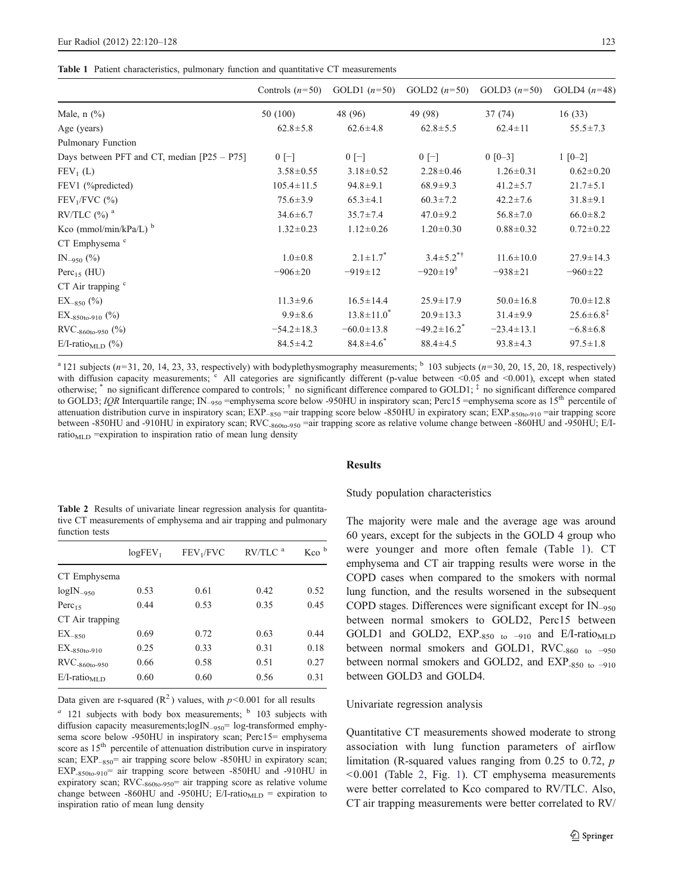Table 1 Patient characteristics, pulmonary function and quantitative CT measurements

|                                               | Controls $(n=50)$ |                            | GOLD1 $(n=50)$ GOLD2 $(n=50)$ | GOLD3 $(n=50)$   | GOLD4 $(n=48)$            |
|-----------------------------------------------|-------------------|----------------------------|-------------------------------|------------------|---------------------------|
| Male, $n$ $(\%)$                              | 50 (100)          | 48 (96)                    | 49 (98)                       | 37(74)           | 16(33)                    |
| Age (years)                                   | $62.8 \pm 5.8$    | $62.6 \pm 4.8$             | $62.8 \pm 5.5$                | $62.4 \pm 11$    | $55.5 \pm 7.3$            |
| Pulmonary Function                            |                   |                            |                               |                  |                           |
| Days between PFT and CT, median $[P25 - P75]$ | $0$ [-1]          | $0$ [-]                    | $0$ [-]                       | $0$ [0-3]        | $1 [0-2]$                 |
| $FEV1$ (L)                                    | $3.58 \pm 0.55$   | $3.18 \pm 0.52$            | $2.28 \pm 0.46$               | $1.26 \pm 0.31$  | $0.62 \pm 0.20$           |
| FEV1 (%predicted)                             | $105.4 \pm 11.5$  | $94.8 \pm 9.1$             | $68.9 \pm 9.3$                | $41.2 \pm 5.7$   | $21.7 \pm 5.1$            |
| $FEV_1/FVC$ (%)                               | $75.6 \pm 3.9$    | $65.3 \pm 4.1$             | $60.3 \pm 7.2$                | $42.2 \pm 7.6$   | $31.8 \pm 9.1$            |
| RV/TLC $(\%)$ <sup>a</sup>                    | $34.6 \pm 6.7$    | $35.7 \pm 7.4$             | $47.0 \pm 9.2$                | $56.8 \pm 7.0$   | $66.0 \pm 8.2$            |
| Kco (mmol/min/kPa/L) $b$                      | $1.32 \pm 0.23$   | $1.12 \pm 0.26$            | $1.20 \pm 0.30$               | $0.88 \pm 0.32$  | $0.72 \pm 0.22$           |
| CT Emphysema <sup>c</sup>                     |                   |                            |                               |                  |                           |
| $IN_{-950}$ (%)                               | $1.0 \pm 0.8$     | $2.1 \pm 1.7$ <sup>*</sup> | $3.4 \pm 5.2$ <sup>*†</sup>   | $11.6 \pm 10.0$  | $27.9 \pm 14.3$           |
| Perc <sub>15</sub> (HU)                       | $-906 \pm 20$     | $-919 \pm 12$              | $-920 \pm 19$ <sup>†</sup>    | $-938 \pm 21$    | $-960 \pm 22$             |
| CT Air trapping $\degree$                     |                   |                            |                               |                  |                           |
| $EX_{-850}$ (%)                               | $11.3 \pm 9.6$    | $16.5 \pm 14.4$            | $25.9 \pm 17.9$               | $50.0 \pm 16.8$  | $70.0 \pm 12.8$           |
| $EX_{-850to-910}$ (%)                         | $9.9 \pm 8.6$     | $13.8 \pm 11.0^*$          | $20.9 \pm 13.3$               | $31.4 \pm 9.9$   | $25.6 \pm 6.8^{\ddagger}$ |
| $\text{RVC}_{-860\text{to}-950}$ (%)          | $-54.2 \pm 18.3$  | $-60.0 \pm 13.8$           | $-49.2 \pm 16.2$ <sup>*</sup> | $-23.4 \pm 13.1$ | $-6.8 \pm 6.8$            |
| E/I-ratio <sub>MLD</sub> $(\%)$               | $84.5 \pm 4.2$    | $84.8 \pm 4.6$             | $88.4 \pm 4.5$                | $93.8 \pm 4.3$   | $97.5 \pm 1.8$            |

<sup>a</sup> 121 subjects  $(n=31, 20, 14, 23, 33,$  respectively) with bodyplethysmography measurements; <sup>b</sup> 103 subjects  $(n=30, 20, 15, 20, 18,$  respectively) with diffusion capacity measurements;  $\degree$  All categories are significantly different (p-value between <0.05 and <0.001), except when stated otherwise;  $*$  no significant difference compared to controls;  $*$  no significant difference compared to GOLD1;  $*$  no significant difference compared to GOLD3; IQR Interquartile range; IN−<sup>950</sup> =emphysema score below -950HU in inspiratory scan; Perc15 =emphysema score as 15th percentile of attenuation distribution curve in inspiratory scan; EXP−<sup>850</sup> =air trapping score below -850HU in expiratory scan; EXP-850to-910 =air trapping score between -850HU and -910HU in expiratory scan; RVC<sub>-860to-950</sub> =air trapping score as relative volume change between -860HU and -950HU; E/Iratio<sub>MLD</sub> =expiration to inspiration ratio of mean lung density

|                |  |  |  | <b>Table 2</b> Results of univariate linear regression analysis for quantita- |
|----------------|--|--|--|-------------------------------------------------------------------------------|
|                |  |  |  | tive CT measurements of emphysema and air trapping and pulmonary              |
| function tests |  |  |  |                                                                               |

|                           | logFEV <sub>1</sub> | FEV <sub>1</sub> /FVC | $RV/TLC$ <sup>a</sup> | Kco <sup>b</sup> |
|---------------------------|---------------------|-----------------------|-----------------------|------------------|
| CT Emphysema              |                     |                       |                       |                  |
| $logIN_{-950}$            | 0.53                | 0.61                  | 0.42                  | 0.52             |
| Perc <sub>15</sub>        | 0.44                | 0.53                  | 0.35                  | 0.45             |
| CT Air trapping           |                     |                       |                       |                  |
| $EX_{-850}$               | 0.69                | 0.72                  | 0.63                  | 0.44             |
| $EX_{-850to-910}$         | 0.25                | 0.33                  | 0.31                  | 0.18             |
| RVC <sub>-860to-950</sub> | 0.66                | 0.58                  | 0.51                  | 0.27             |
| $E/I$ -ratio $_{MLD}$     | 0.60                | 0.60                  | 0.56                  | 0.31             |
|                           |                     |                       |                       |                  |

Data given are r-squared  $(R^2)$  values, with  $p < 0.001$  for all results

 $a$  121 subjects with body box measurements;  $b$  103 subjects with diffusion capacity measurements;logIN−950= log-transformed emphysema score below -950HU in inspiratory scan; Perc15= emphysema score as  $15<sup>th</sup>$  percentile of attenuation distribution curve in inspiratory scan; EXP<sub>-850</sub>= air trapping score below -850HU in expiratory scan; EXP-850to-910= air trapping score between -850HU and -910HU in expiratory scan; RVC<sub>-860to-950</sub>= air trapping score as relative volume change between -860HU and -950HU; E/I-ratio<sub>MLD</sub> = expiration to inspiration ratio of mean lung density

#### Results

#### Study population characteristics

The majority were male and the average age was around 60 years, except for the subjects in the GOLD 4 group who were younger and more often female (Table 1). CT emphysema and CT air trapping results were worse in the COPD cases when compared to the smokers with normal lung function, and the results worsened in the subsequent COPD stages. Differences were significant except for IN−<sup>950</sup> between normal smokers to GOLD2, Perc15 between GOLD1 and GOLD2,  $EXP_{-850}$  to  $-910$  and  $E/I$ -ratio<sub>MLD</sub> between normal smokers and GOLD1, RVC-860 to <sup>−</sup><sup>950</sup> between normal smokers and GOLD2, and EXP<sub>-850 to  $-910$ </sub> between GOLD3 and GOLD4.

#### Univariate regression analysis

Quantitative CT measurements showed moderate to strong association with lung function parameters of airflow limitation (R-squared values ranging from 0.25 to 0.72, p <0.001 (Table 2, Fig. [1\)](#page-5-0). CT emphysema measurements were better correlated to Kco compared to RV/TLC. Also, CT air trapping measurements were better correlated to RV/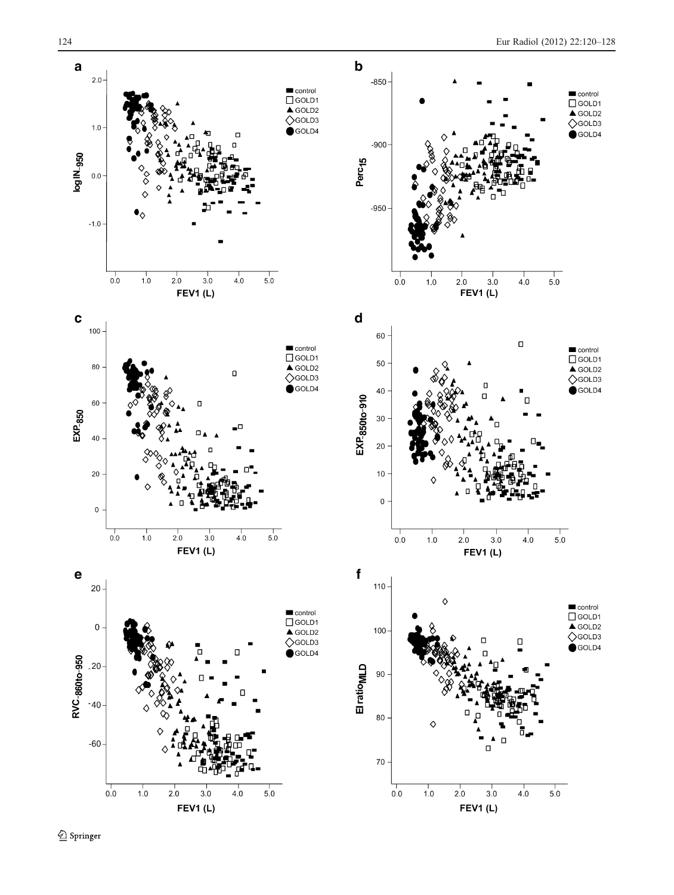

 $\underline{\textcircled{\tiny 2}}$  Springer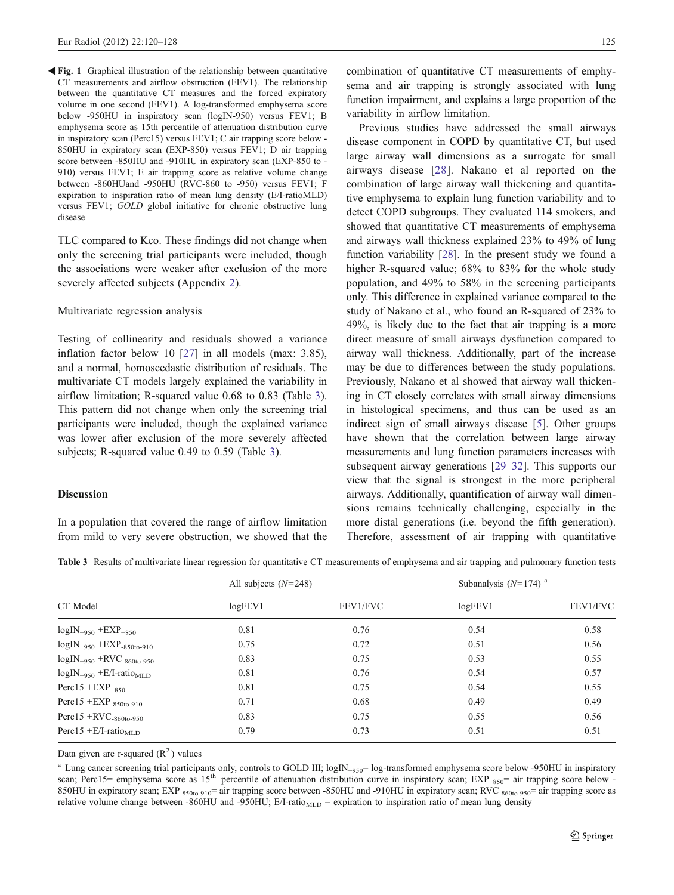<span id="page-5-0"></span>Fig. 1 Graphical illustration of the relationship between quantitative CT measurements and airflow obstruction (FEV1). The relationship between the quantitative CT measures and the forced expiratory volume in one second (FEV1). A log-transformed emphysema score below -950HU in inspiratory scan (logIN-950) versus FEV1; B emphysema score as 15th percentile of attenuation distribution curve in inspiratory scan (Perc15) versus FEV1; C air trapping score below - 850HU in expiratory scan (EXP-850) versus FEV1; D air trapping score between -850HU and -910HU in expiratory scan (EXP-850 to - 910) versus FEV1; E air trapping score as relative volume change between -860HUand -950HU (RVC-860 to -950) versus FEV1; F expiration to inspiration ratio of mean lung density (E/I-ratioMLD) versus FEV1; GOLD global initiative for chronic obstructive lung disease

TLC compared to Kco. These findings did not change when only the screening trial participants were included, though the associations were weaker after exclusion of the more severely affected subjects (Appendix [2\)](#page-7-0).

#### Multivariate regression analysis

Testing of collinearity and residuals showed a variance inflation factor below 10 [\[27](#page-8-0)] in all models (max: 3.85), and a normal, homoscedastic distribution of residuals. The multivariate CT models largely explained the variability in airflow limitation; R-squared value 0.68 to 0.83 (Table 3). This pattern did not change when only the screening trial participants were included, though the explained variance was lower after exclusion of the more severely affected subjects; R-squared value 0.49 to 0.59 (Table 3).

## **Discussion**

In a population that covered the range of airflow limitation from mild to very severe obstruction, we showed that the combination of quantitative CT measurements of emphysema and air trapping is strongly associated with lung function impairment, and explains a large proportion of the variability in airflow limitation.

Previous studies have addressed the small airways disease component in COPD by quantitative CT, but used large airway wall dimensions as a surrogate for small airways disease [\[28\]](#page-8-0). Nakano et al reported on the combination of large airway wall thickening and quantitative emphysema to explain lung function variability and to detect COPD subgroups. They evaluated 114 smokers, and showed that quantitative CT measurements of emphysema and airways wall thickness explained 23% to 49% of lung function variability [[28\]](#page-8-0). In the present study we found a higher R-squared value;  $68\%$  to  $83\%$  for the whole study population, and 49% to 58% in the screening participants only. This difference in explained variance compared to the study of Nakano et al., who found an R-squared of 23% to 49%, is likely due to the fact that air trapping is a more direct measure of small airways dysfunction compared to airway wall thickness. Additionally, part of the increase may be due to differences between the study populations. Previously, Nakano et al showed that airway wall thickening in CT closely correlates with small airway dimensions in histological specimens, and thus can be used as an indirect sign of small airways disease [\[5](#page-7-0)]. Other groups have shown that the correlation between large airway measurements and lung function parameters increases with subsequent airway generations [\[29](#page-8-0)–[32](#page-8-0)]. This supports our view that the signal is strongest in the more peripheral airways. Additionally, quantification of airway wall dimensions remains technically challenging, especially in the more distal generations (i.e. beyond the fifth generation). Therefore, assessment of air trapping with quantitative

Table 3 Results of multivariate linear regression for quantitative CT measurements of emphysema and air trapping and pulmonary function tests

| CT Model                                  | All subjects $(N=248)$ |          | Subanalysis $(N=174)$ <sup>a</sup> |          |  |
|-------------------------------------------|------------------------|----------|------------------------------------|----------|--|
|                                           | logFEV1                | FEV1/FVC | $log$ FEV1                         | FEV1/FVC |  |
| $logIN_{-950}$ + $EXP_{-850}$             | 0.81                   | 0.76     | 0.54                               | 0.58     |  |
| $logIN_{-950}$ +EXP <sub>-850to-910</sub> | 0.75                   | 0.72     | 0.51                               | 0.56     |  |
| $logIN_{-950}$ +RVC <sub>-860to-950</sub> | 0.83                   | 0.75     | 0.53                               | 0.55     |  |
| $logIN_{-950}$ +E/I-ratio <sub>MLD</sub>  | 0.81                   | 0.76     | 0.54                               | 0.57     |  |
| Perc15 $+EXP_{-850}$                      | 0.81                   | 0.75     | 0.54                               | 0.55     |  |
| Perc15 + $EXP_{-850to-910}$               | 0.71                   | 0.68     | 0.49                               | 0.49     |  |
| Perc15 +RVC <sub>-860to-950</sub>         | 0.83                   | 0.75     | 0.55                               | 0.56     |  |
| Perc15 $+E/I$ -ratio <sub>MLD</sub>       | 0.79                   | 0.73     | 0.51                               | 0.51     |  |

Data given are r-squared  $(R^2)$  values

<sup>a</sup> Lung cancer screening trial participants only, controls to GOLD III; logIN−950= log-transformed emphysema score below -950HU in inspiratory scan; Perc15= emphysema score as 15<sup>th</sup> percentile of attenuation distribution curve in inspiratory scan; EXP<sub>-850</sub>= air trapping score below -850HU in expiratory scan; EXP<sub>-850to-910</sub>= air trapping score between -850HU and -910HU in expiratory scan; RVC<sub>-860to-950</sub>= air trapping score as relative volume change between -860HU and -950HU;  $E/I$ -ratio<sub>MLD</sub> = expiration to inspiration ratio of mean lung density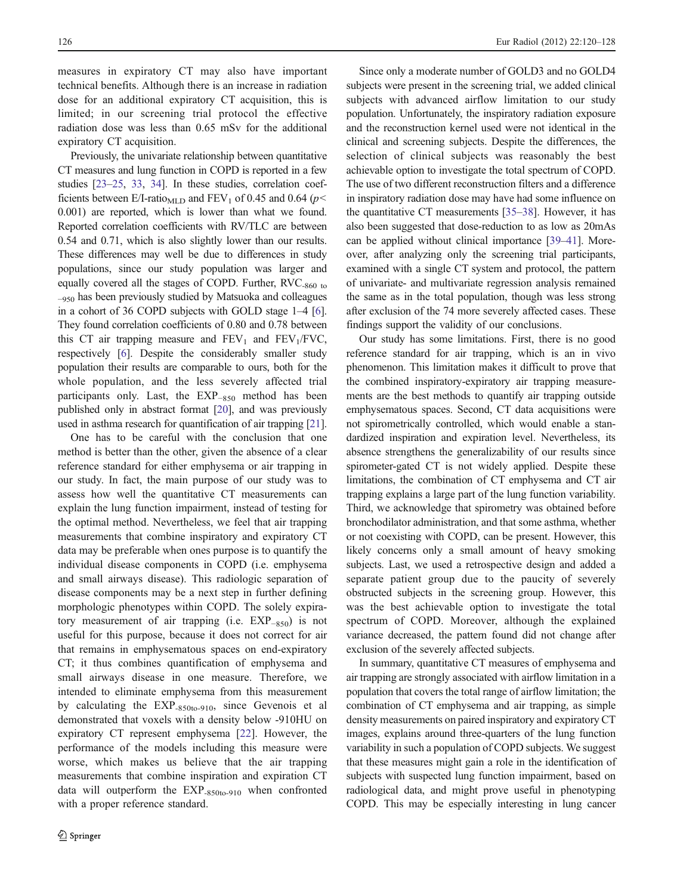measures in expiratory CT may also have important technical benefits. Although there is an increase in radiation dose for an additional expiratory CT acquisition, this is limited; in our screening trial protocol the effective radiation dose was less than 0.65 mSv for the additional expiratory CT acquisition.

Previously, the univariate relationship between quantitative CT measures and lung function in COPD is reported in a few studies [[23](#page-8-0)–[25,](#page-8-0) [33,](#page-8-0) [34\]](#page-8-0). In these studies, correlation coefficients between E/I-ratio<sub>MLD</sub> and FEV<sub>1</sub> of 0.45 and 0.64 ( $p$  < 0.001) are reported, which is lower than what we found. Reported correlation coefficients with RV/TLC are between 0.54 and 0.71, which is also slightly lower than our results. These differences may well be due to differences in study populations, since our study population was larger and equally covered all the stages of COPD. Further, RVC<sub>-860 to</sub> <sup>−</sup><sup>950</sup> has been previously studied by Matsuoka and colleagues in a cohort of 36 COPD subjects with GOLD stage 1–4 [[6\]](#page-7-0). They found correlation coefficients of 0.80 and 0.78 between this CT air trapping measure and  $FEV_1$  and  $FEV_1/FVC$ , respectively [\[6\]](#page-7-0). Despite the considerably smaller study population their results are comparable to ours, both for the whole population, and the less severely affected trial participants only. Last, the EXP−<sup>850</sup> method has been published only in abstract format [[20\]](#page-8-0), and was previously used in asthma research for quantification of air trapping [\[21\]](#page-8-0).

One has to be careful with the conclusion that one method is better than the other, given the absence of a clear reference standard for either emphysema or air trapping in our study. In fact, the main purpose of our study was to assess how well the quantitative CT measurements can explain the lung function impairment, instead of testing for the optimal method. Nevertheless, we feel that air trapping measurements that combine inspiratory and expiratory CT data may be preferable when ones purpose is to quantify the individual disease components in COPD (i.e. emphysema and small airways disease). This radiologic separation of disease components may be a next step in further defining morphologic phenotypes within COPD. The solely expiratory measurement of air trapping (i.e. EXP−850) is not useful for this purpose, because it does not correct for air that remains in emphysematous spaces on end-expiratory CT; it thus combines quantification of emphysema and small airways disease in one measure. Therefore, we intended to eliminate emphysema from this measurement by calculating the  $EXP_{-850to-910}$ , since Gevenois et al demonstrated that voxels with a density below -910HU on expiratory CT represent emphysema [\[22](#page-8-0)]. However, the performance of the models including this measure were worse, which makes us believe that the air trapping measurements that combine inspiration and expiration CT data will outperform the EXP-850to-910 when confronted with a proper reference standard.

Since only a moderate number of GOLD3 and no GOLD4 subjects were present in the screening trial, we added clinical subjects with advanced airflow limitation to our study population. Unfortunately, the inspiratory radiation exposure and the reconstruction kernel used were not identical in the clinical and screening subjects. Despite the differences, the selection of clinical subjects was reasonably the best achievable option to investigate the total spectrum of COPD. The use of two different reconstruction filters and a difference in inspiratory radiation dose may have had some influence on the quantitative CT measurements [\[35](#page-8-0)–[38](#page-8-0)]. However, it has also been suggested that dose-reduction to as low as 20mAs can be applied without clinical importance [\[39](#page-8-0)–[41](#page-8-0)]. Moreover, after analyzing only the screening trial participants, examined with a single CT system and protocol, the pattern of univariate- and multivariate regression analysis remained the same as in the total population, though was less strong after exclusion of the 74 more severely affected cases. These findings support the validity of our conclusions.

Our study has some limitations. First, there is no good reference standard for air trapping, which is an in vivo phenomenon. This limitation makes it difficult to prove that the combined inspiratory-expiratory air trapping measurements are the best methods to quantify air trapping outside emphysematous spaces. Second, CT data acquisitions were not spirometrically controlled, which would enable a standardized inspiration and expiration level. Nevertheless, its absence strengthens the generalizability of our results since spirometer-gated CT is not widely applied. Despite these limitations, the combination of CT emphysema and CT air trapping explains a large part of the lung function variability. Third, we acknowledge that spirometry was obtained before bronchodilator administration, and that some asthma, whether or not coexisting with COPD, can be present. However, this likely concerns only a small amount of heavy smoking subjects. Last, we used a retrospective design and added a separate patient group due to the paucity of severely obstructed subjects in the screening group. However, this was the best achievable option to investigate the total spectrum of COPD. Moreover, although the explained variance decreased, the pattern found did not change after exclusion of the severely affected subjects.

In summary, quantitative CT measures of emphysema and air trapping are strongly associated with airflow limitation in a population that covers the total range of airflow limitation; the combination of CT emphysema and air trapping, as simple density measurements on paired inspiratory and expiratory CT images, explains around three-quarters of the lung function variability in such a population of COPD subjects. We suggest that these measures might gain a role in the identification of subjects with suspected lung function impairment, based on radiological data, and might prove useful in phenotyping COPD. This may be especially interesting in lung cancer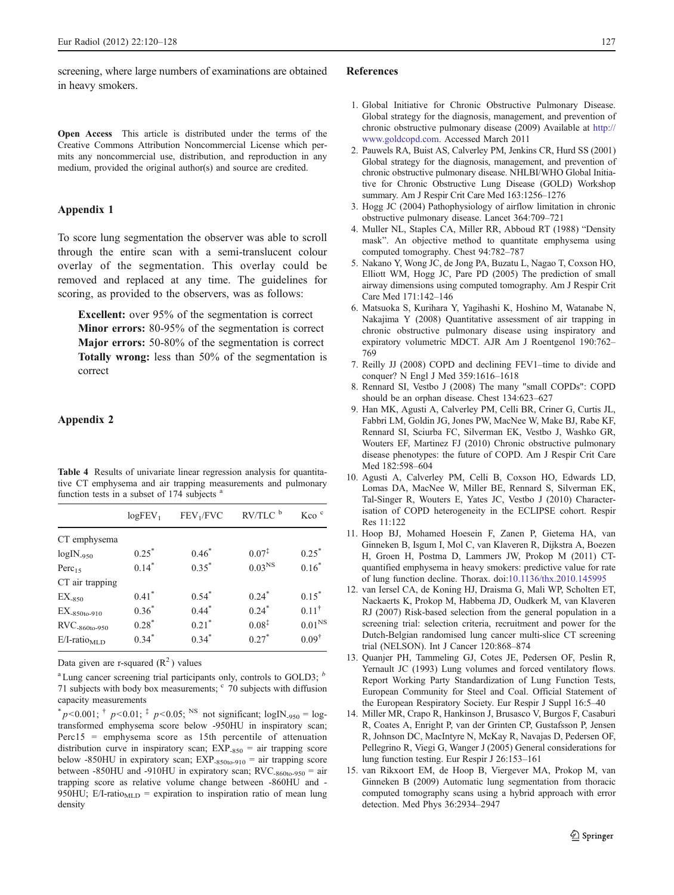<span id="page-7-0"></span>screening, where large numbers of examinations are obtained in heavy smokers.

Open Access This article is distributed under the terms of the Creative Commons Attribution Noncommercial License which permits any noncommercial use, distribution, and reproduction in any medium, provided the original author(s) and source are credited.

# Appendix 1

To score lung segmentation the observer was able to scroll through the entire scan with a semi-translucent colour overlay of the segmentation. This overlay could be removed and replaced at any time. The guidelines for scoring, as provided to the observers, was as follows:

Excellent: over 95% of the segmentation is correct Minor errors: 80-95% of the segmentation is correct Major errors: 50-80% of the segmentation is correct Totally wrong: less than 50% of the segmentation is correct

## Appendix 2

Table 4 Results of univariate linear regression analysis for quantitative CT emphysema and air trapping measurements and pulmonary function tests in a subset of  $174$  subjects  $\frac{12}{3}$ 

|                           | logFEV <sub>1</sub> | FEV <sub>1</sub> /FVC | $RV/TLC$ <sup>b</sup> | Kco <sup>c</sup>   |
|---------------------------|---------------------|-----------------------|-----------------------|--------------------|
| CT emphysema              |                     |                       |                       |                    |
| $logIN_{.950}$            | $0.25^*$            | $0.46^*$              | $0.07^{\ddagger}$     | $0.25^*$           |
| Perc <sub>15</sub>        | $0.14*$             | $0.35^*$              | 0.03 <sup>NS</sup>    | $0.16*$            |
| CT air trapping           |                     |                       |                       |                    |
| $EX_{-850}$               | $0.41$ <sup>*</sup> | $0.54$ <sup>*</sup>   | $0.24$ <sup>*</sup>   | $0.15^*$           |
| $EX_{-850to-910}$         | $0.36*$             | $0.44*$               | $0.24*$               | $0.11^{\dagger}$   |
| RVC <sub>-860to-950</sub> | $0.28*$             | $0.21$ <sup>*</sup>   | $0.08^{\ddagger}$     | 0.01 <sup>NS</sup> |
| $E/I$ -ratio $MLD$        | $0.34*$             | $0.34*$               | $0.27$ <sup>*</sup>   | $0.09^{\dagger}$   |

Data given are r-squared  $(R^2)$  values

<sup>a</sup> Lung cancer screening trial participants only, controls to GOLD3;  $<sup>b</sup>$ </sup> 71 subjects with body box measurements; <sup>c</sup> 70 subjects with diffusion capacity measurements

\*  $p$  < 0.001;  $\frac{1}{2}$  p < 0.01;  $\frac{1}{2}$  p < 0.05; <sup>NS</sup> not significant; logIN<sub>-950</sub> = logtransformed emphysema score below -950HU in inspiratory scan; Perc15 = emphysema score as 15th percentile of attenuation distribution curve in inspiratory scan;  $EXP_{.850} =$  air trapping score below -850HU in expiratory scan;  $EXP_{-850to-910}$  = air trapping score between -850HU and -910HU in expiratory scan;  $\text{RVC}_{-860\text{to}-950}$  = air trapping score as relative volume change between -860HU and - 950HU; E/I-ratio<sub>MLD</sub> = expiration to inspiration ratio of mean lung density

#### References

- 1. Global Initiative for Chronic Obstructive Pulmonary Disease. Global strategy for the diagnosis, management, and prevention of chronic obstructive pulmonary disease (2009) Available at [http://](http://www.goldcopd.com) [www.goldcopd.com.](http://www.goldcopd.com) Accessed March 2011
- 2. Pauwels RA, Buist AS, Calverley PM, Jenkins CR, Hurd SS (2001) Global strategy for the diagnosis, management, and prevention of chronic obstructive pulmonary disease. NHLBI/WHO Global Initiative for Chronic Obstructive Lung Disease (GOLD) Workshop summary. Am J Respir Crit Care Med 163:1256–1276
- 3. Hogg JC (2004) Pathophysiology of airflow limitation in chronic obstructive pulmonary disease. Lancet 364:709–721
- 4. Muller NL, Staples CA, Miller RR, Abboud RT (1988) "Density mask". An objective method to quantitate emphysema using computed tomography. Chest 94:782–787
- 5. Nakano Y, Wong JC, de Jong PA, Buzatu L, Nagao T, Coxson HO, Elliott WM, Hogg JC, Pare PD (2005) The prediction of small airway dimensions using computed tomography. Am J Respir Crit Care Med 171:142–146
- 6. Matsuoka S, Kurihara Y, Yagihashi K, Hoshino M, Watanabe N, Nakajima Y (2008) Quantitative assessment of air trapping in chronic obstructive pulmonary disease using inspiratory and expiratory volumetric MDCT. AJR Am J Roentgenol 190:762– 769
- 7. Reilly JJ (2008) COPD and declining FEV1–time to divide and conquer? N Engl J Med 359:1616–1618
- 8. Rennard SI, Vestbo J (2008) The many "small COPDs": COPD should be an orphan disease. Chest 134:623–627
- 9. Han MK, Agusti A, Calverley PM, Celli BR, Criner G, Curtis JL, Fabbri LM, Goldin JG, Jones PW, MacNee W, Make BJ, Rabe KF, Rennard SI, Sciurba FC, Silverman EK, Vestbo J, Washko GR, Wouters EF, Martinez FJ (2010) Chronic obstructive pulmonary disease phenotypes: the future of COPD. Am J Respir Crit Care Med 182:598–604
- 10. Agusti A, Calverley PM, Celli B, Coxson HO, Edwards LD, Lomas DA, MacNee W, Miller BE, Rennard S, Silverman EK, Tal-Singer R, Wouters E, Yates JC, Vestbo J (2010) Characterisation of COPD heterogeneity in the ECLIPSE cohort. Respir Res 11:122
- 11. Hoop BJ, Mohamed Hoesein F, Zanen P, Gietema HA, van Ginneken B, Isgum I, Mol C, van Klaveren R, Dijkstra A, Boezen H, Groen H, Postma D, Lammers JW, Prokop M (2011) CTquantified emphysema in heavy smokers: predictive value for rate of lung function decline. Thorax. doi[:10.1136/thx.2010.145995](http://dx.doi.org/10.1136/thx.2010.145995)
- 12. van Iersel CA, de Koning HJ, Draisma G, Mali WP, Scholten ET, Nackaerts K, Prokop M, Habbema JD, Oudkerk M, van Klaveren RJ (2007) Risk-based selection from the general population in a screening trial: selection criteria, recruitment and power for the Dutch-Belgian randomised lung cancer multi-slice CT screening trial (NELSON). Int J Cancer 120:868–874
- 13. Quanjer PH, Tammeling GJ, Cotes JE, Pedersen OF, Peslin R, Yernault JC (1993) Lung volumes and forced ventilatory flows. Report Working Party Standardization of Lung Function Tests, European Community for Steel and Coal. Official Statement of the European Respiratory Society. Eur Respir J Suppl 16:5–40
- 14. Miller MR, Crapo R, Hankinson J, Brusasco V, Burgos F, Casaburi R, Coates A, Enright P, van der Grinten CP, Gustafsson P, Jensen R, Johnson DC, MacIntyre N, McKay R, Navajas D, Pedersen OF, Pellegrino R, Viegi G, Wanger J (2005) General considerations for lung function testing. Eur Respir J 26:153–161
- 15. van Rikxoort EM, de Hoop B, Viergever MA, Prokop M, van Ginneken B (2009) Automatic lung segmentation from thoracic computed tomography scans using a hybrid approach with error detection. Med Phys 36:2934–2947